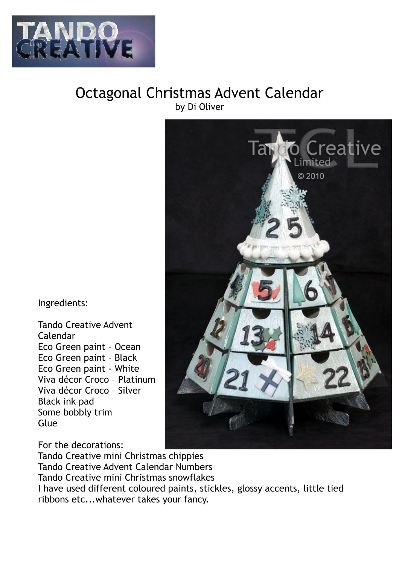

## Octagonal Christmas Advent Calendar by Di Oliver

Ingredients:

Tando Creative Advent Calendar Eco Green paint – Ocean Eco Green paint – Black Eco Green paint - White Viva décor Croco – Platinum Viva décor Croco – Silver Black ink pad Some bobbly trim Glue



For the decorations: Tando Creative mini Christmas chippies Tando Creative Advent Calendar Numbers Tando Creative mini Christmas snowflakes I have used different coloured paints, stickles, glossy accents, little tied ribbons etc...whatever takes your fancy.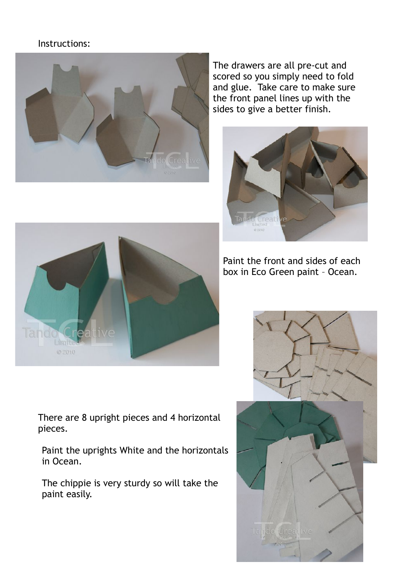## Instructions:



The drawers are all pre-cut and scored so you simply need to fold and glue. Take care to make sure the front panel lines up with the sides to give a better finish.









There are 8 upright pieces and 4 horizontal pieces.

Paint the uprights White and the horizontals in Ocean.

The chippie is very sturdy so will take the paint easily.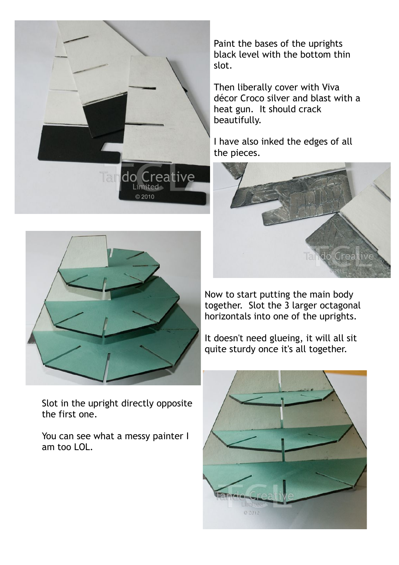



Slot in the upright directly opposite the first one.

You can see what a messy painter I am too LOL.

Paint the bases of the uprights black level with the bottom thin slot.

Then liberally cover with Viva décor Croco silver and blast with a heat gun. It should crack beautifully.

I have also inked the edges of all the pieces.



Now to start putting the main body together. Slot the 3 larger octagonal horizontals into one of the uprights.

It doesn't need glueing, it will all sit quite sturdy once it's all together.

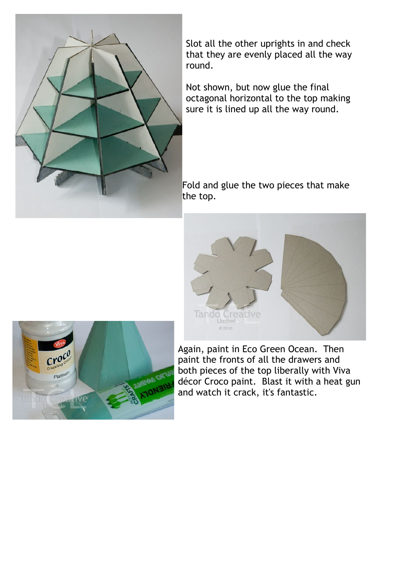

Slot all the other uprights in and check that they are evenly placed all the way round.

Not shown, but now glue the final octagonal horizontal to the top making sure it is lined up all the way round.

Fold and glue the two pieces that make the top.





Again, paint in Eco Green Ocean. Then paint the fronts of all the drawers and both pieces of the top liberally with Viva décor Croco paint. Blast it with a heat gun and watch it crack, it's fantastic.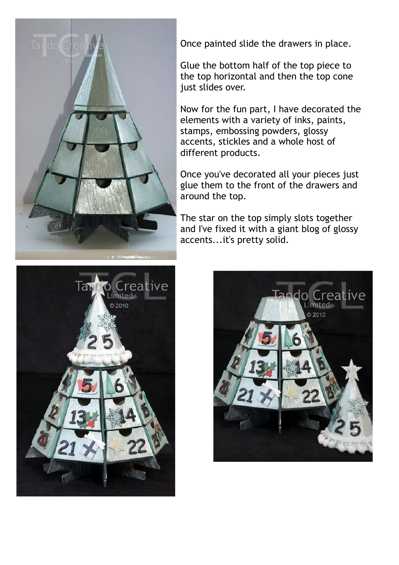

Once painted slide the drawers in place.

Glue the bottom half of the top piece to the top horizontal and then the top cone just slides over.

Now for the fun part, I have decorated the elements with a variety of inks, paints, stamps, embossing powders, glossy accents, stickles and a whole host of different products.

Once you've decorated all your pieces just glue them to the front of the drawers and around the top.

The star on the top simply slots together and I've fixed it with a giant blog of glossy accents...it's pretty solid.